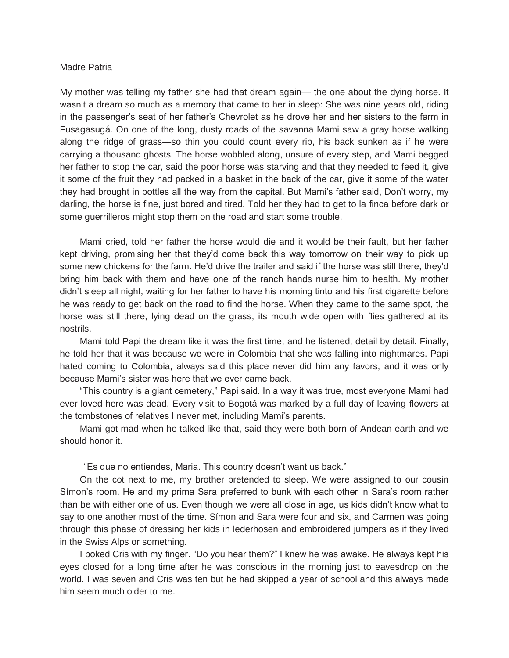## Madre Patria

My mother was telling my father she had that dream again— the one about the dying horse. It wasn't a dream so much as a memory that came to her in sleep: She was nine years old, riding in the passenger's seat of her father's Chevrolet as he drove her and her sisters to the farm in Fusagasugá. On one of the long, dusty roads of the savanna Mami saw a gray horse walking along the ridge of grass—so thin you could count every rib, his back sunken as if he were carrying a thousand ghosts. The horse wobbled along, unsure of every step, and Mami begged her father to stop the car, said the poor horse was starving and that they needed to feed it, give it some of the fruit they had packed in a basket in the back of the car, give it some of the water they had brought in bottles all the way from the capital. But Mami's father said, Don't worry, my darling, the horse is fine, just bored and tired. Told her they had to get to la finca before dark or some guerrilleros might stop them on the road and start some trouble.

Mami cried, told her father the horse would die and it would be their fault, but her father kept driving, promising her that they'd come back this way tomorrow on their way to pick up some new chickens for the farm. He'd drive the trailer and said if the horse was still there, they'd bring him back with them and have one of the ranch hands nurse him to health. My mother didn't sleep all night, waiting for her father to have his morning tinto and his first cigarette before he was ready to get back on the road to find the horse. When they came to the same spot, the horse was still there, lying dead on the grass, its mouth wide open with flies gathered at its nostrils.

Mami told Papi the dream like it was the first time, and he listened, detail by detail. Finally, he told her that it was because we were in Colombia that she was falling into nightmares. Papi hated coming to Colombia, always said this place never did him any favors, and it was only because Mami's sister was here that we ever came back.

"This country is a giant cemetery," Papi said. In a way it was true, most everyone Mami had ever loved here was dead. Every visit to Bogotá was marked by a full day of leaving flowers at the tombstones of relatives I never met, including Mami's parents.

Mami got mad when he talked like that, said they were both born of Andean earth and we should honor it.

"Es que no entiendes, Maria. This country doesn't want us back."

On the cot next to me, my brother pretended to sleep. We were assigned to our cousin Símon's room. He and my prima Sara preferred to bunk with each other in Sara's room rather than be with either one of us. Even though we were all close in age, us kids didn't know what to say to one another most of the time. Símon and Sara were four and six, and Carmen was going through this phase of dressing her kids in lederhosen and embroidered jumpers as if they lived in the Swiss Alps or something.

I poked Cris with my finger. "Do you hear them?" I knew he was awake. He always kept his eyes closed for a long time after he was conscious in the morning just to eavesdrop on the world. I was seven and Cris was ten but he had skipped a year of school and this always made him seem much older to me.